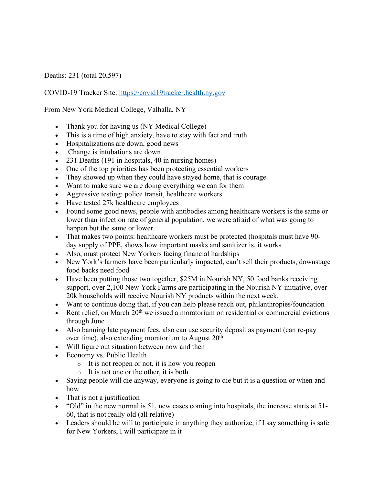Deaths: 231 (total 20,597)

COVID-19 Tracker Site: https://covid19tracker.health.ny.gov

From New York Medical College, Valhalla, NY

- Thank you for having us (NY Medical College)
- This is a time of high anxiety, have to stay with fact and truth
- Hospitalizations are down, good news
- Change is intubations are down
- 231 Deaths (191 in hospitals, 40 in nursing homes)
- One of the top priorities has been protecting essential workers
- They showed up when they could have stayed home, that is courage
- Want to make sure we are doing everything we can for them
- Aggressive testing: police transit, healthcare workers
- Have tested 27k healthcare employees
- Found some good news, people with antibodies among healthcare workers is the same or lower than infection rate of general population, we were afraid of what was going to happen but the same or lower
- That makes two points: healthcare workers must be protected (hospitals must have 90day supply of PPE, shows how important masks and sanitizer is, it works
- Also, must protect New Yorkers facing financial hardships
- New York's farmers have been particularly impacted, can't sell their products, downstage food backs need food
- Have been putting those two together, \$25M in Nourish NY, 50 food banks receiving support, over 2,100 New York Farms are participating in the Nourish NY initiative, over 20k households will receive Nourish NY products within the next week.
- Want to continue doing that, if you can help please reach out, philanthropies/foundation
- Rent relief, on March  $20<sup>th</sup>$  we issued a moratorium on residential or commercial evictions through June
- Also banning late payment fees, also can use security deposit as payment (can re-pay over time), also extending moratorium to August  $20<sup>th</sup>$
- Will figure out situation between now and then
- Economy vs. Public Health
	- o It is not reopen or not, it is how you reopen
		- o It is not one or the other, it is both
- Saying people will die anyway, everyone is going to die but it is a question or when and how
- That is not a justification
- "Old" in the new normal is 51, new cases coming into hospitals, the increase starts at 51-60, that is not really old (all relative)
- Leaders should be will to participate in anything they authorize, if I say something is safe for New Yorkers, I will participate in it